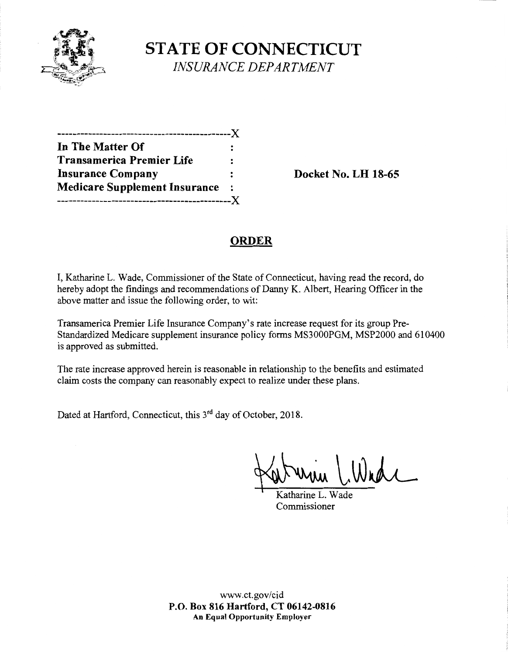

**STATE OF CONNECTICUT**  *INSURANCE DEPARTMENT* 

| .                                    |     |
|--------------------------------------|-----|
| In The Matter Of                     |     |
| <b>Transamerica Premier Life</b>     |     |
| <b>Insurance Company</b>             |     |
| <b>Medicare Supplement Insurance</b> |     |
| ------------                         | . X |
|                                      |     |

**Insurance Company Docket No. LH 18-65** 

## **ORDER**

I, Katharine L. Wade, Commissioner of the State of Connecticut, having read the record, do hereby adopt the findings and recommendations of Danny K. Albert, Hearing Officer in the above matter and issue the following order, to wit:

Transamerica Premier Life Insurance Company's rate increase request for its group Pre-Standardized Medicare supplement insurance policy forms MS3000PGM, MSP2000 and 610400 is approved as submitted.

The rate increase approved herein is reasonable in relationship to the benefits and estimated claim costs the company can reasonably expect to realize under these plans.

Dated at Hartford, Connecticut, this 3<sup>rd</sup> day of October, 2018.

Katharine L. Whde

Commissioner

www.ct.gov/cid **P.O. Box 816 Hartford, CT 06142-0816 An Equal Opportunity Employer**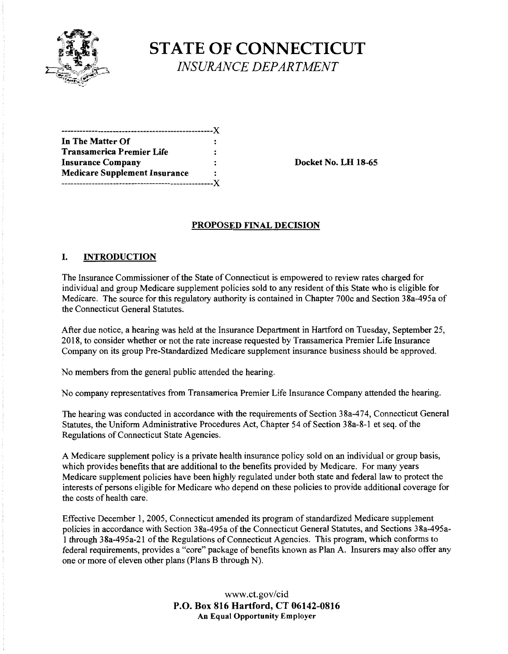

# **STATE OF CONNECTICUT**  *INSURANCE DEPARTMENT*

| In The Matter Of                     |  |
|--------------------------------------|--|
| Transamerica Premier Life            |  |
| <b>Insurance Company</b>             |  |
| <b>Medicare Supplement Insurance</b> |  |
| -------------------X                 |  |
|                                      |  |

**Insurance Company Docket No. LH 18-65** 

#### **PROPOSED FINAL DECISION**

#### I. **INTRODUCTION**

The Insurance Commissioner of the State of Connecticut is empowered to review rates charged for individual and group Medicare supplement policies sold to any resident of this State who is eligible for Medicare. The source for this regulatory authority is contained in Chapter 700c and Section 38a-495a of the Connecticut General Statutes.

After due notice, a hearing was held at the Insurance Department in Hartford on Tuesday, September 25, 2018, to consider whether or not the rate increase requested by Transamerica Premier Life Insurance Company on its group Pre-Standardized Medicare supplement insurance business should be approved.

No members from the general public attended the hearing.

No company representatives from Transamerica Premier Life Insurance Company attended the hearing.

The hearing was conducted in accordance with the requirements of Section 38a-474, Connecticut General Statutes, the Uniform Administrative Procedures Act, Chapter 54 of Section 38a-8-1 et seq. of the Regulations of Connecticut State Agencies.

A Medicare supplement policy is a private health insurance policy sold on an individual or group basis, which provides benefits that are additional to the benefits provided by Medicare. For many years Medicare supplement policies have been highly regulated under both state and federal law to protect the interests of persons eligible for Medicare who depend on these policies to provide additional coverage for the costs of health care.

Effective December 1, 2005, Connecticut amended its program of standardized Medicare supplement policies in accordance with Section 38a-495a of the Connecticut General Statutes, and Sections 38a-495a-1 through 38a-495a-21 of the Regulations of Connecticut Agencies. This program, which conforms to federal requirements, provides a "core" package of benefits known as Plan A. Insurers may also offer any one or more of eleven other plans (Plans B through N).

> www.ct.gov/cid **P.O. Box 816 Hartford, CT 06142-0816 An Equal Opportunity Employer**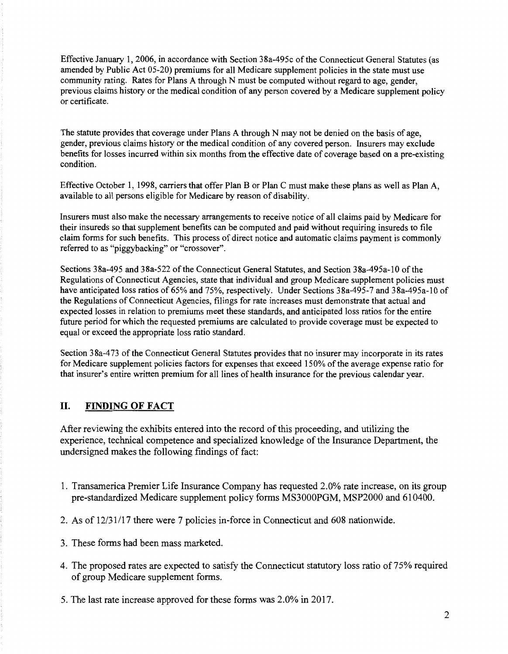Effective January 1, 2006, in accordance with Section 38a-495c of the Connecticut General Statutes (as amended by Public Act 05-20) premiums for all Medicare supplement policies in the state must use community rating. Rates for Plans A through N must be computed without regard to age, gender, previous claims history or the medical condition of any person covered by a Medicare supplement policy or certificate.

The statute provides that coverage under Plans A through N may not be denied on the basis of age, gender, previous claims history or the medical condition of any covered person. Insurers may exclude benefits for losses incurred within six months from the effective date of coverage based on a pre-existing condition.

Effective October 1, 1998, carriers that offer Plan B or Plan C must make these plans as well as Plan A, available to all persons eligible for Medicare by reason of disability.

Insurers must also make the necessruy arrangements to receive notice of all claims paid by Medicare for their insureds so that supplement benefits can be computed and paid without requiring insureds to file claim forms for such benefits. This process of direct notice and automatic claims payment is commonly referred to as "piggybacking" or "crossover".

Sections 38a-495 and 38a-522 ofthe Connecticut General Statutes, and Section 38a-495a-10 of the Regulations of Connecticut Agencies, state that individual and group Medicare supplement policies must have anticipated loss ratios of 65% and 75%, respectively. Under Sections 38a-495-7 and 38a-495a-10 of the Regulations of Connecticut Agencies, filings for rate increases must demonstrate that actual and expected losses in relation to premiums meet these standards, and anticipated loss ratios for the entire future period for which the requested premiums are calculated to provide coverage must be expected to equal or exceed the appropriate loss ratio standard.

Section 38a-473 of the Connecticut General Statutes provides that no insurer may incorporate in its rates for Medicare supplement policies factors for expenses that exceed 150% of the average expense ratio for that insurer's entire written premium for all lines of health insurance for the previous calendar year.

## **II. FINDING OF FACT**

After reviewing the exhibits entered into the record of this proceeding, and utilizing the experience, technical competence and specialized knowledge of the Insurance Department, the undersigned makes the following findings of fact:

- 1. Transamerica Premier Life Insurance Company has requested 2.0% rate increase, on its group pre-standardized Medicare supplement policy forms MS3000PGM, MSP2000 and 610400.
- 2. As of 12/31/17 there were 7 policies in-force in Connecticut and 608 nationwide.
- 3. These forms had been mass marketed.
- 4. The proposed rates are expected to satisfy the Connecticut statutory loss ratio of 75% required of group Medicare supplement forms.
- 5. The last rate increase approved for these forms was 2.0% in 2017.